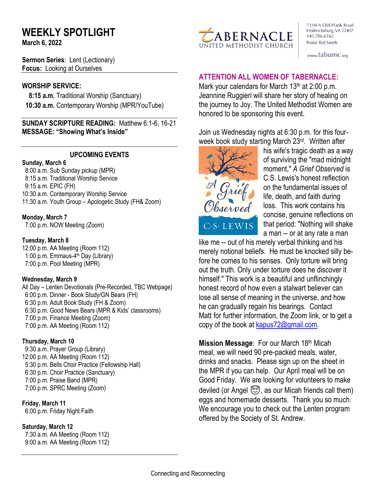# **WEEKLY SPOTLIGHT**

**March 6, 2022** 

**Sermon Series**: Lent (Lectionary) **Focus:** Looking at Ourselves

#### **WORSHIP SERVICE:**

 **8:15 a.m.** Traditional Worship (Sanctuary)  **10:30 a.m.** Contemporary Worship (MPR/YouTube)

**SUNDAY SCRIPTURE READING:** Matthew 6:1-6, 16-21 **MESSAGE: "Showing What's Inside"**

#### **UPCOMING EVENTS**

#### **Sunday, March 6**

8:00 a.m. Sub Sunday pickup (MPR) 8:15 a.m. Traditional Worship Service 9:15 a.m. EPIC (FH) 10:30 a.m. Contemporary Worship Service 11:30 a.m. Youth Group – Apologetic Study (FH& Zoom)

#### **Monday, March 7**

7:00 p.m. NOW Meeting (Zoom)

#### **Tuesday, March 8**

12:00 p.m. AA Meeting (Room 112) 1:00 p.m. Emmaus-4<sup>th</sup> Day (Library) 7:00 p.m. Pool Meeting (MPR)

#### **Wednesday, March 9**

All Day – Lenten Devotionals (Pre-Recorded, TBC Webpage) 6:00 p.m. Dinner - Book Study/GN Bears (FH) 6:30 p.m. Adult Book Study (FH & Zoom) 6:30 p.m. Good News Bears (MPR & Kids' classrooms) 7:00 p.m. Finance Meeting (Zoom) 7:00 p.m. AA Meeting (Room 112)

#### **Thursday, March 10**

9:30 a.m. Prayer Group (Library) 12:00 p.m. AA Meeting (Room 112) 5:30 p.m. Bells Choir Practice (Fellowship Hall) 6:30 p.m. Choir Practice (Sanctuary) 7:00 p.m. Praise Band (MPR) 7:00 p.m. SPRC Meeting (Zoom)

**Friday, March 11** 6:00 p.m. Friday Night Faith

# **Saturday, March 12**

 7:30 a.m. AA Meeting (Room 112) 9:00 a.m. AA Meeting (Room 112)



7310-A Old Plank Road Fredericksburg, VA 22407 540.786.6162 Pastor Ted Smith

www.tabumc.org

## **ATTENTION ALL WOMEN OF TABERNACLE:**

Mark your calendars for March 13<sup>th</sup> at 2:00 p.m. Jeannine Ruggieri will share her story of healing on the journey to Joy. The United Methodist Women are honored to be sponsoring this event.

Join us Wednesday nights at 6:30 p.m. for this fourweek book study starting March 23<sup>rd</sup>. Written after



his wife's tragic death as a way of surviving the "mad midnight moment," *A Grief Observed* is C.S. Lewis's honest reflection on the fundamental issues of life, death, and faith during loss. This work contains his concise, genuine reflections on that period: "Nothing will shake a man -- or at any rate a man

like me -- out of his merely verbal thinking and his merely notional beliefs. He must be knocked silly before he comes to his senses. Only torture will bring out the truth. Only under torture does he discover it himself." This work is a beautiful and unflinchingly honest record of how even a stalwart believer can lose all sense of meaning in the universe, and how he can gradually regain his bearings. Contact Matt for further information, the Zoom link, or to get a copy of the book at [kapus72@gmail.com.](https://mailto:kapus72@gmail.com)

**Mission Message**: For our March 18th Micah meal, we will need 90 pre-packed meals, water, drinks and snacks. Please sign up on the sheet in the MPR if you can help. Our April meal will be on Good Friday. We are looking for volunteers to make deviled (or Angel  $\odot$ , as our Micah friends call them) eggs and homemade desserts. Thank you so much. We encourage you to check out the Lenten program offered by the Society of St. Andrew.